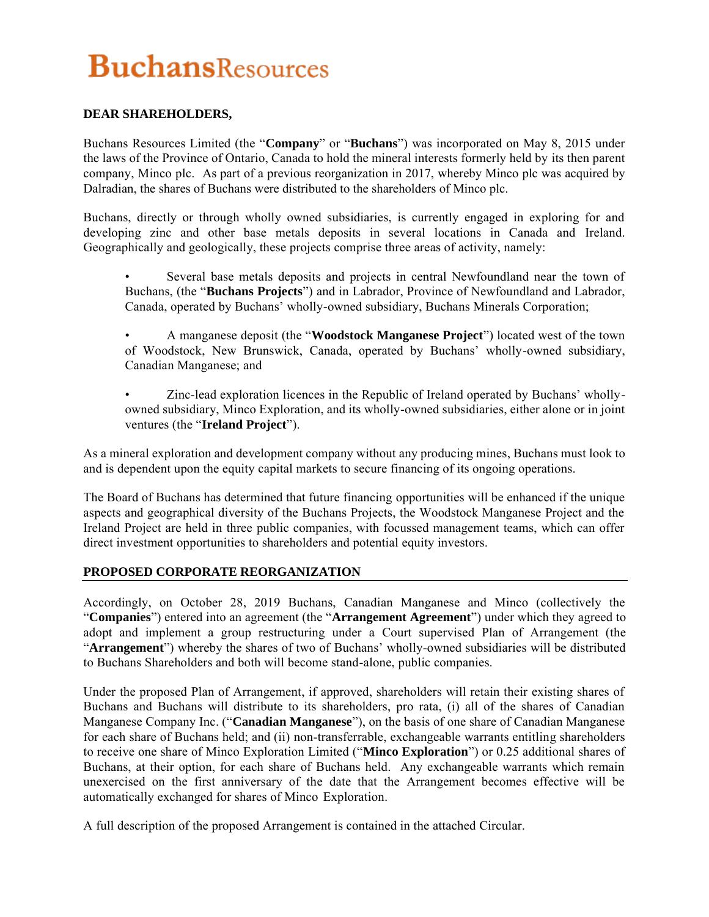## **DEAR SHAREHOLDERS,**

Buchans Resources Limited (the "**Company**" or "**Buchans**") was incorporated on May 8, 2015 under the laws of the Province of Ontario, Canada to hold the mineral interests formerly held by its then parent company, Minco plc. As part of a previous reorganization in 2017, whereby Minco plc was acquired by Dalradian, the shares of Buchans were distributed to the shareholders of Minco plc.

Buchans, directly or through wholly owned subsidiaries, is currently engaged in exploring for and developing zinc and other base metals deposits in several locations in Canada and Ireland. Geographically and geologically, these projects comprise three areas of activity, namely:

- Several base metals deposits and projects in central Newfoundland near the town of Buchans, (the "**Buchans Projects**") and in Labrador, Province of Newfoundland and Labrador, Canada, operated by Buchans' wholly-owned subsidiary, Buchans Minerals Corporation;
- A manganese deposit (the "**Woodstock Manganese Project**") located west of the town of Woodstock, New Brunswick, Canada, operated by Buchans' wholly-owned subsidiary, Canadian Manganese; and
- Zinc-lead exploration licences in the Republic of Ireland operated by Buchans' whollyowned subsidiary, Minco Exploration, and its wholly-owned subsidiaries, either alone or in joint ventures (the "**Ireland Project**").

As a mineral exploration and development company without any producing mines, Buchans must look to and is dependent upon the equity capital markets to secure financing of its ongoing operations.

The Board of Buchans has determined that future financing opportunities will be enhanced if the unique aspects and geographical diversity of the Buchans Projects, the Woodstock Manganese Project and the Ireland Project are held in three public companies, with focussed management teams, which can offer direct investment opportunities to shareholders and potential equity investors.

#### **PROPOSED CORPORATE REORGANIZATION**

Accordingly, on October 28, 2019 Buchans, Canadian Manganese and Minco (collectively the "**Companies**") entered into an agreement (the "**Arrangement Agreement**") under which they agreed to adopt and implement a group restructuring under a Court supervised Plan of Arrangement (the "**Arrangement**") whereby the shares of two of Buchans' wholly-owned subsidiaries will be distributed to Buchans Shareholders and both will become stand-alone, public companies.

Under the proposed Plan of Arrangement, if approved, shareholders will retain their existing shares of Buchans and Buchans will distribute to its shareholders, pro rata, (i) all of the shares of Canadian Manganese Company Inc. ("**Canadian Manganese**"), on the basis of one share of Canadian Manganese for each share of Buchans held; and (ii) non-transferrable, exchangeable warrants entitling shareholders to receive one share of Minco Exploration Limited ("**Minco Exploration**") or 0.25 additional shares of Buchans, at their option, for each share of Buchans held. Any exchangeable warrants which remain unexercised on the first anniversary of the date that the Arrangement becomes effective will be automatically exchanged for shares of Minco Exploration.

A full description of the proposed Arrangement is contained in the attached Circular.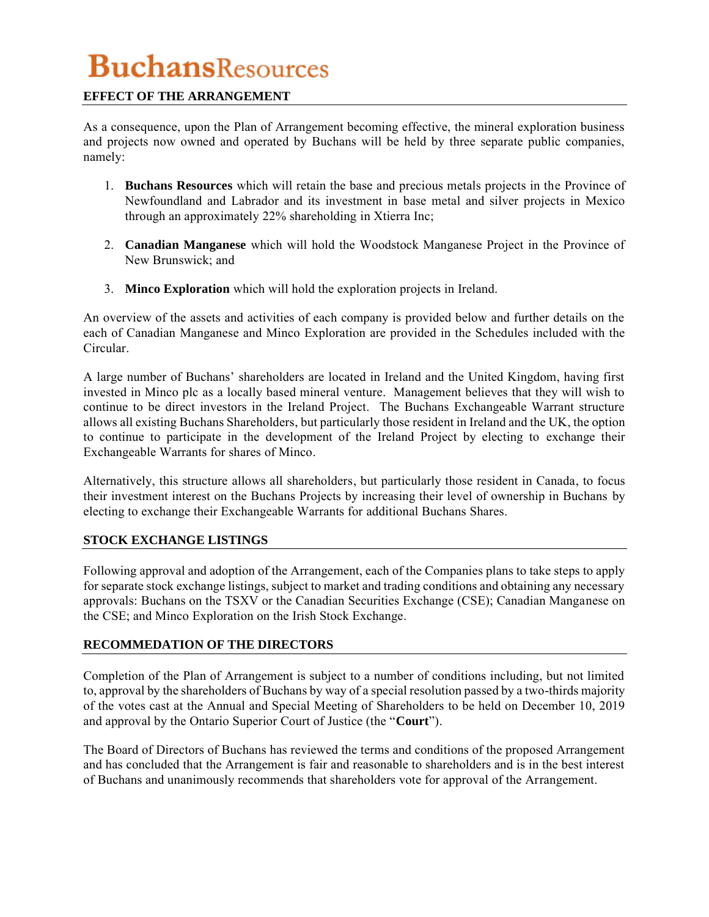## **EFFECT OF THE ARRANGEMENT**

As a consequence, upon the Plan of Arrangement becoming effective, the mineral exploration business and projects now owned and operated by Buchans will be held by three separate public companies, namely:

- 1. **Buchans Resources** which will retain the base and precious metals projects in the Province of Newfoundland and Labrador and its investment in base metal and silver projects in Mexico through an approximately 22% shareholding in Xtierra Inc;
- 2. **Canadian Manganese** which will hold the Woodstock Manganese Project in the Province of New Brunswick; and
- 3. **Minco Exploration** which will hold the exploration projects in Ireland.

An overview of the assets and activities of each company is provided below and further details on the each of Canadian Manganese and Minco Exploration are provided in the Schedules included with the Circular.

A large number of Buchans' shareholders are located in Ireland and the United Kingdom, having first invested in Minco plc as a locally based mineral venture. Management believes that they will wish to continue to be direct investors in the Ireland Project. The Buchans Exchangeable Warrant structure allows all existing Buchans Shareholders, but particularly those resident in Ireland and the UK, the option to continue to participate in the development of the Ireland Project by electing to exchange their Exchangeable Warrants for shares of Minco.

Alternatively, this structure allows all shareholders, but particularly those resident in Canada, to focus their investment interest on the Buchans Projects by increasing their level of ownership in Buchans by electing to exchange their Exchangeable Warrants for additional Buchans Shares.

## **STOCK EXCHANGE LISTINGS**

Following approval and adoption of the Arrangement, each of the Companies plans to take steps to apply for separate stock exchange listings, subject to market and trading conditions and obtaining any necessary approvals: Buchans on the TSXV or the Canadian Securities Exchange (CSE); Canadian Manganese on the CSE; and Minco Exploration on the Irish Stock Exchange.

#### **RECOMMEDATION OF THE DIRECTORS**

Completion of the Plan of Arrangement is subject to a number of conditions including, but not limited to, approval by the shareholders of Buchans by way of a special resolution passed by a two-thirds majority of the votes cast at the Annual and Special Meeting of Shareholders to be held on December 10, 2019 and approval by the Ontario Superior Court of Justice (the "**Court**").

The Board of Directors of Buchans has reviewed the terms and conditions of the proposed Arrangement and has concluded that the Arrangement is fair and reasonable to shareholders and is in the best interest of Buchans and unanimously recommends that shareholders vote for approval of the Arrangement.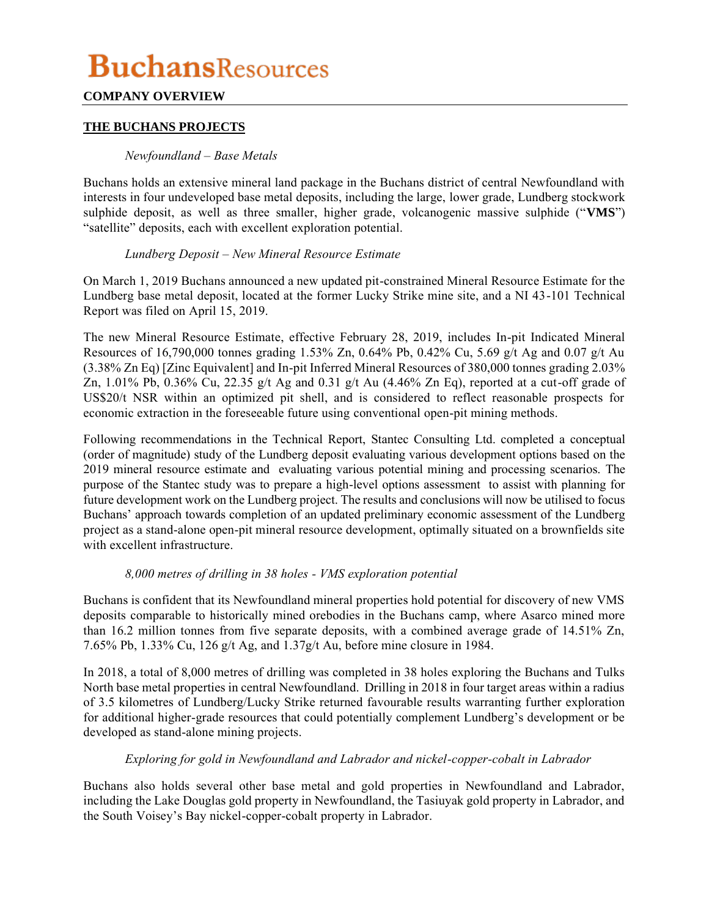## **COMPANY OVERVIEW**

### **THE BUCHANS PROJECTS**

#### *Newfoundland – Base Metals*

Buchans holds an extensive mineral land package in the Buchans district of central Newfoundland with interests in four undeveloped base metal deposits, including the large, lower grade, Lundberg stockwork sulphide deposit, as well as three smaller, higher grade, volcanogenic massive sulphide ("**VMS**") "satellite" deposits, each with excellent exploration potential.

#### *Lundberg Deposit – New Mineral Resource Estimate*

On March 1, 2019 Buchans announced a new updated pit-constrained Mineral Resource Estimate for the Lundberg base metal deposit, located at the former Lucky Strike mine site, and a NI 43-101 Technical Report was filed on April 15, 2019.

The new Mineral Resource Estimate, effective February 28, 2019, includes In-pit Indicated Mineral Resources of 16,790,000 tonnes grading 1.53% Zn, 0.64% Pb, 0.42% Cu, 5.69 g/t Ag and 0.07 g/t Au (3.38% Zn Eq) [Zinc Equivalent] and In-pit Inferred Mineral Resources of 380,000 tonnes grading 2.03% Zn, 1.01% Pb, 0.36% Cu, 22.35 g/t Ag and 0.31 g/t Au (4.46% Zn Eq), reported at a cut-off grade of US\$20/t NSR within an optimized pit shell, and is considered to reflect reasonable prospects for economic extraction in the foreseeable future using conventional open-pit mining methods.

Following recommendations in the Technical Report, Stantec Consulting Ltd. completed a conceptual (order of magnitude) study of the Lundberg deposit evaluating various development options based on the 2019 mineral resource estimate and evaluating various potential mining and processing scenarios. The purpose of the Stantec study was to prepare a high-level options assessment to assist with planning for future development work on the Lundberg project. The results and conclusions will now be utilised to focus Buchans' approach towards completion of an updated preliminary economic assessment of the Lundberg project as a stand-alone open-pit mineral resource development, optimally situated on a brownfields site with excellent infrastructure.

#### *8,000 metres of drilling in 38 holes - VMS exploration potential*

Buchans is confident that its Newfoundland mineral properties hold potential for discovery of new VMS deposits comparable to historically mined orebodies in the Buchans camp, where Asarco mined more than 16.2 million tonnes from five separate deposits, with a combined average grade of 14.51% Zn, 7.65% Pb, 1.33% Cu, 126 g/t Ag, and 1.37g/t Au, before mine closure in 1984.

In 2018, a total of 8,000 metres of drilling was completed in 38 holes exploring the Buchans and Tulks North base metal properties in central Newfoundland. Drilling in 2018 in four target areas within a radius of 3.5 kilometres of Lundberg/Lucky Strike returned favourable results warranting further exploration for additional higher-grade resources that could potentially complement Lundberg's development or be developed as stand-alone mining projects.

#### *Exploring for gold in Newfoundland and Labrador and nickel-copper-cobalt in Labrador*

Buchans also holds several other base metal and gold properties in Newfoundland and Labrador, including the Lake Douglas gold property in Newfoundland, the Tasiuyak gold property in Labrador, and the South Voisey's Bay nickel-copper-cobalt property in Labrador.